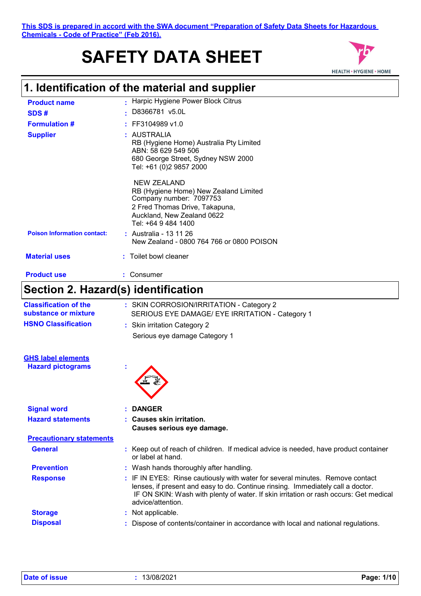# **SAFETY DATA SHEET**



## **1. Identification of the material and supplier**

| <b>Product name</b>                | - Harpic Hygiene Power Block Citrus                                                                                                                                    |
|------------------------------------|------------------------------------------------------------------------------------------------------------------------------------------------------------------------|
| SDS#                               | D8366781 v5.0L                                                                                                                                                         |
| <b>Formulation #</b>               | $:$ FF3104989 v1.0                                                                                                                                                     |
| <b>Supplier</b>                    | : AUSTRALIA<br>RB (Hygiene Home) Australia Pty Limited<br>ABN: 58 629 549 506<br>680 George Street, Sydney NSW 2000<br>Tel: +61 (0)2 9857 2000                         |
|                                    | NEW ZEALAND<br>RB (Hygiene Home) New Zealand Limited<br>Company number: 7097753<br>2 Fred Thomas Drive, Takapuna,<br>Auckland, New Zealand 0622<br>Tel: +64 9 484 1400 |
| <b>Poison Information contact:</b> | : Australia - 13 11 26<br>New Zealand - 0800 764 766 or 0800 POISON                                                                                                    |
| <b>Material uses</b>               | : Toilet bowl cleaner                                                                                                                                                  |
| <b>Product use</b>                 | Consumer                                                                                                                                                               |

## **Section 2. Hazard(s) identification**

| <b>Classification of the</b>    | : SKIN CORROSION/IRRITATION - Category 2                                                                                                                                                                                                                                       |
|---------------------------------|--------------------------------------------------------------------------------------------------------------------------------------------------------------------------------------------------------------------------------------------------------------------------------|
| substance or mixture            | SERIOUS EYE DAMAGE/ EYE IRRITATION - Category 1                                                                                                                                                                                                                                |
| <b>HSNO Classification</b>      | : Skin irritation Category 2                                                                                                                                                                                                                                                   |
|                                 | Serious eye damage Category 1                                                                                                                                                                                                                                                  |
| <b>GHS label elements</b>       |                                                                                                                                                                                                                                                                                |
| <b>Hazard pictograms</b>        |                                                                                                                                                                                                                                                                                |
| <b>Signal word</b>              | <b>DANGER</b>                                                                                                                                                                                                                                                                  |
| <b>Hazard statements</b>        | : Causes skin irritation.<br>Causes serious eye damage.                                                                                                                                                                                                                        |
| <b>Precautionary statements</b> |                                                                                                                                                                                                                                                                                |
| <b>General</b>                  | : Keep out of reach of children. If medical advice is needed, have product container<br>or label at hand.                                                                                                                                                                      |
| <b>Prevention</b>               | : Wash hands thoroughly after handling.                                                                                                                                                                                                                                        |
| <b>Response</b>                 | : IF IN EYES: Rinse cautiously with water for several minutes. Remove contact<br>lenses, if present and easy to do. Continue rinsing. Immediately call a doctor.<br>IF ON SKIN: Wash with plenty of water. If skin irritation or rash occurs: Get medical<br>advice/attention. |
| <b>Storage</b>                  | : Not applicable.                                                                                                                                                                                                                                                              |
| <b>Disposal</b>                 | Dispose of contents/container in accordance with local and national regulations.                                                                                                                                                                                               |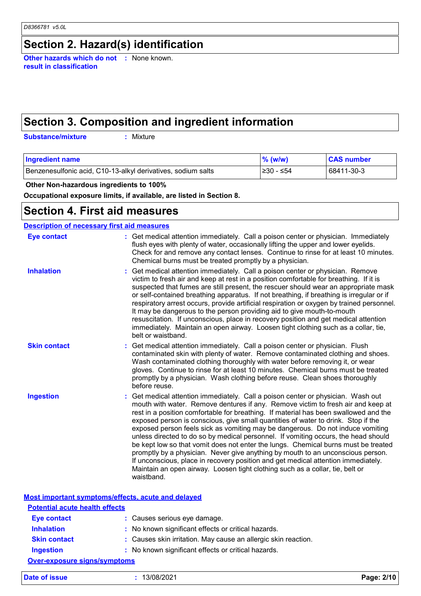## **Section 2. Hazard(s) identification**

**Other hazards which do not :** None known. **result in classification**

## **Section 3. Composition and ingredient information**

**Substance/mixture :**

: Mixture

| <b>Ingredient name</b>                                       | $\%$ (w/w) | <b>CAS number</b> |
|--------------------------------------------------------------|------------|-------------------|
| Benzenesulfonic acid, C10-13-alkyl derivatives, sodium salts | 1≥30 - ≤54 | 68411-30-3        |

 **Other Non-hazardous ingredients to 100%**

**Occupational exposure limits, if available, are listed in Section 8.**

#### **Section 4. First aid measures**

| <b>Description of necessary first aid measures</b> |                                                                                                                                                                                                                                                                                                                                                                                                                                                                                                                                                                                                                                                                                                                                                                                                                                                                                      |  |  |
|----------------------------------------------------|--------------------------------------------------------------------------------------------------------------------------------------------------------------------------------------------------------------------------------------------------------------------------------------------------------------------------------------------------------------------------------------------------------------------------------------------------------------------------------------------------------------------------------------------------------------------------------------------------------------------------------------------------------------------------------------------------------------------------------------------------------------------------------------------------------------------------------------------------------------------------------------|--|--|
| <b>Eye contact</b>                                 | : Get medical attention immediately. Call a poison center or physician. Immediately<br>flush eyes with plenty of water, occasionally lifting the upper and lower eyelids.<br>Check for and remove any contact lenses. Continue to rinse for at least 10 minutes.<br>Chemical burns must be treated promptly by a physician.                                                                                                                                                                                                                                                                                                                                                                                                                                                                                                                                                          |  |  |
| <b>Inhalation</b>                                  | Get medical attention immediately. Call a poison center or physician. Remove<br>victim to fresh air and keep at rest in a position comfortable for breathing. If it is<br>suspected that fumes are still present, the rescuer should wear an appropriate mask<br>or self-contained breathing apparatus. If not breathing, if breathing is irregular or if<br>respiratory arrest occurs, provide artificial respiration or oxygen by trained personnel.<br>It may be dangerous to the person providing aid to give mouth-to-mouth<br>resuscitation. If unconscious, place in recovery position and get medical attention<br>immediately. Maintain an open airway. Loosen tight clothing such as a collar, tie,<br>belt or waistband.                                                                                                                                                  |  |  |
| <b>Skin contact</b>                                | Get medical attention immediately. Call a poison center or physician. Flush<br>contaminated skin with plenty of water. Remove contaminated clothing and shoes.<br>Wash contaminated clothing thoroughly with water before removing it, or wear<br>gloves. Continue to rinse for at least 10 minutes. Chemical burns must be treated<br>promptly by a physician. Wash clothing before reuse. Clean shoes thoroughly<br>before reuse.                                                                                                                                                                                                                                                                                                                                                                                                                                                  |  |  |
| <b>Ingestion</b>                                   | Get medical attention immediately. Call a poison center or physician. Wash out<br>mouth with water. Remove dentures if any. Remove victim to fresh air and keep at<br>rest in a position comfortable for breathing. If material has been swallowed and the<br>exposed person is conscious, give small quantities of water to drink. Stop if the<br>exposed person feels sick as vomiting may be dangerous. Do not induce vomiting<br>unless directed to do so by medical personnel. If vomiting occurs, the head should<br>be kept low so that vomit does not enter the lungs. Chemical burns must be treated<br>promptly by a physician. Never give anything by mouth to an unconscious person.<br>If unconscious, place in recovery position and get medical attention immediately.<br>Maintain an open airway. Loosen tight clothing such as a collar, tie, belt or<br>waistband. |  |  |

|                                       | Most important symptoms/effects, acute and delayed             |            |
|---------------------------------------|----------------------------------------------------------------|------------|
| <b>Potential acute health effects</b> |                                                                |            |
| <b>Eye contact</b>                    | : Causes serious eye damage.                                   |            |
| <b>Inhalation</b>                     | : No known significant effects or critical hazards.            |            |
| <b>Skin contact</b>                   | : Causes skin irritation. May cause an allergic skin reaction. |            |
| <b>Ingestion</b>                      | : No known significant effects or critical hazards.            |            |
| <b>Over-exposure signs/symptoms</b>   |                                                                |            |
| Date of issue                         | 13/08/2021                                                     | Page: 2/10 |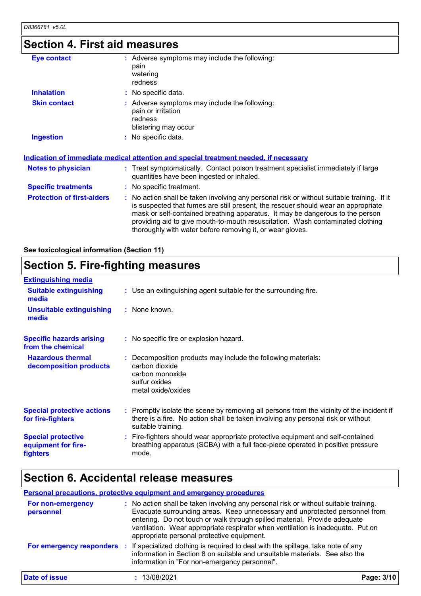## **Section 4. First aid measures**

| <b>Eye contact</b>                | : Adverse symptoms may include the following:<br>pain<br>watering<br>redness                                                                                                                                                                                                                                                                                                                                    |
|-----------------------------------|-----------------------------------------------------------------------------------------------------------------------------------------------------------------------------------------------------------------------------------------------------------------------------------------------------------------------------------------------------------------------------------------------------------------|
| <b>Inhalation</b>                 | : No specific data.                                                                                                                                                                                                                                                                                                                                                                                             |
| <b>Skin contact</b>               | : Adverse symptoms may include the following:<br>pain or irritation<br>redness<br>blistering may occur                                                                                                                                                                                                                                                                                                          |
| <b>Ingestion</b>                  | : No specific data.                                                                                                                                                                                                                                                                                                                                                                                             |
|                                   | <u>Indication of immediate medical attention and special treatment needed, if necessary</u>                                                                                                                                                                                                                                                                                                                     |
| <b>Notes to physician</b>         | : Treat symptomatically. Contact poison treatment specialist immediately if large<br>quantities have been ingested or inhaled.                                                                                                                                                                                                                                                                                  |
| <b>Specific treatments</b>        | : No specific treatment.                                                                                                                                                                                                                                                                                                                                                                                        |
| <b>Protection of first-aiders</b> | : No action shall be taken involving any personal risk or without suitable training. If it<br>is suspected that fumes are still present, the rescuer should wear an appropriate<br>mask or self-contained breathing apparatus. It may be dangerous to the person<br>providing aid to give mouth-to-mouth resuscitation. Wash contaminated clothing<br>thoroughly with water before removing it, or wear gloves. |

**See toxicological information (Section 11)**

#### **Section 5. Fire-fighting measures**

| <b>Extinguishing media</b>                                   |                                                                                                                                                                                                     |
|--------------------------------------------------------------|-----------------------------------------------------------------------------------------------------------------------------------------------------------------------------------------------------|
| <b>Suitable extinguishing</b><br>media                       | : Use an extinguishing agent suitable for the surrounding fire.                                                                                                                                     |
| <b>Unsuitable extinguishing</b><br>media                     | : None known.                                                                                                                                                                                       |
| <b>Specific hazards arising</b><br>from the chemical         | : No specific fire or explosion hazard.                                                                                                                                                             |
| <b>Hazardous thermal</b><br>decomposition products           | : Decomposition products may include the following materials:<br>carbon dioxide<br>carbon monoxide<br>sulfur oxides<br>metal oxide/oxides                                                           |
| <b>Special protective actions</b><br>for fire-fighters       | : Promptly isolate the scene by removing all persons from the vicinity of the incident if<br>there is a fire. No action shall be taken involving any personal risk or without<br>suitable training. |
| <b>Special protective</b><br>equipment for fire-<br>fighters | : Fire-fighters should wear appropriate protective equipment and self-contained<br>breathing apparatus (SCBA) with a full face-piece operated in positive pressure<br>mode.                         |

## **Section 6. Accidental release measures**

#### **Personal precautions, protective equipment and emergency procedures**

| For non-emergency<br>personnel | : No action shall be taken involving any personal risk or without suitable training.<br>Evacuate surrounding areas. Keep unnecessary and unprotected personnel from<br>entering. Do not touch or walk through spilled material. Provide adequate<br>ventilation. Wear appropriate respirator when ventilation is inadequate. Put on<br>appropriate personal protective equipment. |            |
|--------------------------------|-----------------------------------------------------------------------------------------------------------------------------------------------------------------------------------------------------------------------------------------------------------------------------------------------------------------------------------------------------------------------------------|------------|
| For emergency responders       | If specialized clothing is required to deal with the spillage, take note of any<br>information in Section 8 on suitable and unsuitable materials. See also the<br>information in "For non-emergency personnel".                                                                                                                                                                   |            |
| Date of issue                  | 13/08/2021                                                                                                                                                                                                                                                                                                                                                                        | Page: 3/10 |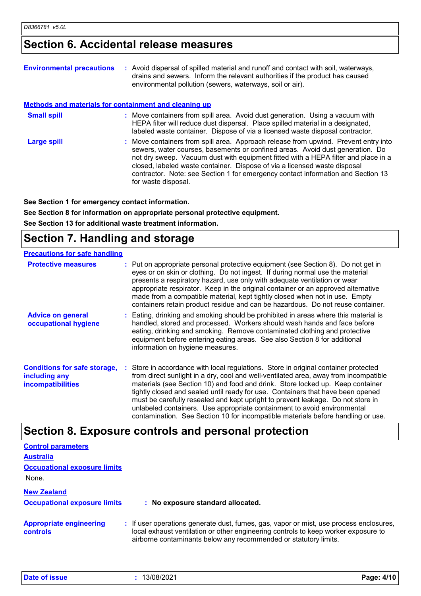#### **Section 6. Accidental release measures**

| <b>Environmental precautions</b>                      | : Avoid dispersal of spilled material and runoff and contact with soil, waterways,<br>drains and sewers. Inform the relevant authorities if the product has caused<br>environmental pollution (sewers, waterways, soil or air).                                                                                                                                                                                                                    |
|-------------------------------------------------------|----------------------------------------------------------------------------------------------------------------------------------------------------------------------------------------------------------------------------------------------------------------------------------------------------------------------------------------------------------------------------------------------------------------------------------------------------|
| Methods and materials for containment and cleaning up |                                                                                                                                                                                                                                                                                                                                                                                                                                                    |
| <b>Small spill</b>                                    | : Move containers from spill area. Avoid dust generation. Using a vacuum with<br>HEPA filter will reduce dust dispersal. Place spilled material in a designated,<br>labeled waste container. Dispose of via a licensed waste disposal contractor.                                                                                                                                                                                                  |
| Large spill                                           | : Move containers from spill area. Approach release from upwind. Prevent entry into<br>sewers, water courses, basements or confined areas. Avoid dust generation. Do<br>not dry sweep. Vacuum dust with equipment fitted with a HEPA filter and place in a<br>closed, labeled waste container. Dispose of via a licensed waste disposal<br>contractor. Note: see Section 1 for emergency contact information and Section 13<br>for waste disposal. |

**See Section 1 for emergency contact information.**

**See Section 8 for information on appropriate personal protective equipment. See Section 13 for additional waste treatment information.**

## **Section 7. Handling and storage**

| <b>Precautions for safe handling</b>                                             |                                                                                                                                                                                                                                                                                                                                                                                                                                                                                                                                                                                                     |
|----------------------------------------------------------------------------------|-----------------------------------------------------------------------------------------------------------------------------------------------------------------------------------------------------------------------------------------------------------------------------------------------------------------------------------------------------------------------------------------------------------------------------------------------------------------------------------------------------------------------------------------------------------------------------------------------------|
| <b>Protective measures</b>                                                       | : Put on appropriate personal protective equipment (see Section 8). Do not get in<br>eyes or on skin or clothing. Do not ingest. If during normal use the material<br>presents a respiratory hazard, use only with adequate ventilation or wear<br>appropriate respirator. Keep in the original container or an approved alternative<br>made from a compatible material, kept tightly closed when not in use. Empty<br>containers retain product residue and can be hazardous. Do not reuse container.                                                                                              |
| <b>Advice on general</b><br>occupational hygiene                                 | : Eating, drinking and smoking should be prohibited in areas where this material is<br>handled, stored and processed. Workers should wash hands and face before<br>eating, drinking and smoking. Remove contaminated clothing and protective<br>equipment before entering eating areas. See also Section 8 for additional<br>information on hygiene measures.                                                                                                                                                                                                                                       |
| <b>Conditions for safe storage,</b><br>including any<br><b>incompatibilities</b> | : Store in accordance with local regulations. Store in original container protected<br>from direct sunlight in a dry, cool and well-ventilated area, away from incompatible<br>materials (see Section 10) and food and drink. Store locked up. Keep container<br>tightly closed and sealed until ready for use. Containers that have been opened<br>must be carefully resealed and kept upright to prevent leakage. Do not store in<br>unlabeled containers. Use appropriate containment to avoid environmental<br>contamination. See Section 10 for incompatible materials before handling or use. |

#### **Section 8. Exposure controls and personal protection**

| <b>Control parameters</b><br><b>Australia</b><br><b>Occupational exposure limits</b> |                                                                                                                                                                                                                                                  |
|--------------------------------------------------------------------------------------|--------------------------------------------------------------------------------------------------------------------------------------------------------------------------------------------------------------------------------------------------|
| None.<br><b>New Zealand</b><br><b>Occupational exposure limits</b>                   | : No exposure standard allocated.                                                                                                                                                                                                                |
| <b>Appropriate engineering</b><br><b>controls</b>                                    | : If user operations generate dust, fumes, gas, vapor or mist, use process enclosures,<br>local exhaust ventilation or other engineering controls to keep worker exposure to<br>airborne contaminants below any recommended or statutory limits. |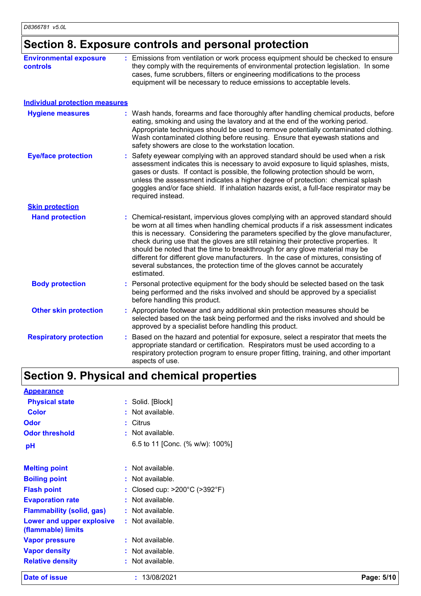## **Section 8. Exposure controls and personal protection**

| <b>Environmental exposure</b><br><b>controls</b> | : Emissions from ventilation or work process equipment should be checked to ensure<br>they comply with the requirements of environmental protection legislation. In some<br>cases, fume scrubbers, filters or engineering modifications to the process<br>equipment will be necessary to reduce emissions to acceptable levels.                                                                                                                                                                                                                                                                                           |
|--------------------------------------------------|---------------------------------------------------------------------------------------------------------------------------------------------------------------------------------------------------------------------------------------------------------------------------------------------------------------------------------------------------------------------------------------------------------------------------------------------------------------------------------------------------------------------------------------------------------------------------------------------------------------------------|
| <b>Individual protection measures</b>            |                                                                                                                                                                                                                                                                                                                                                                                                                                                                                                                                                                                                                           |
| <b>Hygiene measures</b>                          | : Wash hands, forearms and face thoroughly after handling chemical products, before<br>eating, smoking and using the lavatory and at the end of the working period.<br>Appropriate techniques should be used to remove potentially contaminated clothing.<br>Wash contaminated clothing before reusing. Ensure that eyewash stations and<br>safety showers are close to the workstation location.                                                                                                                                                                                                                         |
| <b>Eye/face protection</b>                       | Safety eyewear complying with an approved standard should be used when a risk<br>assessment indicates this is necessary to avoid exposure to liquid splashes, mists,<br>gases or dusts. If contact is possible, the following protection should be worn,<br>unless the assessment indicates a higher degree of protection: chemical splash<br>goggles and/or face shield. If inhalation hazards exist, a full-face respirator may be<br>required instead.                                                                                                                                                                 |
| <b>Skin protection</b>                           |                                                                                                                                                                                                                                                                                                                                                                                                                                                                                                                                                                                                                           |
| <b>Hand protection</b>                           | : Chemical-resistant, impervious gloves complying with an approved standard should<br>be worn at all times when handling chemical products if a risk assessment indicates<br>this is necessary. Considering the parameters specified by the glove manufacturer,<br>check during use that the gloves are still retaining their protective properties. It<br>should be noted that the time to breakthrough for any glove material may be<br>different for different glove manufacturers. In the case of mixtures, consisting of<br>several substances, the protection time of the gloves cannot be accurately<br>estimated. |
| <b>Body protection</b>                           | : Personal protective equipment for the body should be selected based on the task<br>being performed and the risks involved and should be approved by a specialist<br>before handling this product.                                                                                                                                                                                                                                                                                                                                                                                                                       |
| <b>Other skin protection</b>                     | : Appropriate footwear and any additional skin protection measures should be<br>selected based on the task being performed and the risks involved and should be<br>approved by a specialist before handling this product.                                                                                                                                                                                                                                                                                                                                                                                                 |
| <b>Respiratory protection</b>                    | Based on the hazard and potential for exposure, select a respirator that meets the<br>appropriate standard or certification. Respirators must be used according to a<br>respiratory protection program to ensure proper fitting, training, and other important<br>aspects of use.                                                                                                                                                                                                                                                                                                                                         |

## **Section 9. Physical and chemical properties**

| <b>Appearance</b>                               |    |                                                  |
|-------------------------------------------------|----|--------------------------------------------------|
| <b>Physical state</b>                           |    | : Solid. [Block]                                 |
| Color                                           |    | Not available.                                   |
| Odor                                            | ÷. | Citrus                                           |
| <b>Odor threshold</b>                           |    | : Not available.                                 |
| рH                                              |    | 6.5 to 11 [Conc. (% w/w): $100\%$ ]              |
| <b>Melting point</b>                            |    | Not available.                                   |
| <b>Boiling point</b>                            |    | : Not available.                                 |
| <b>Flash point</b>                              |    | Closed cup: $>200^{\circ}$ C ( $>392^{\circ}$ F) |
| <b>Evaporation rate</b>                         |    | Not available.                                   |
| Flammability (solid, gas)                       |    | $:$ Not available.                               |
| Lower and upper explosive<br>(flammable) limits |    | $:$ Not available.                               |
| <b>Vapor pressure</b>                           |    | : Not available.                                 |
| <b>Vapor density</b>                            |    | Not available.                                   |
| <b>Relative density</b>                         |    | Not available.                                   |

**Date of issue :** 13/08/2021 **Page: 5/10**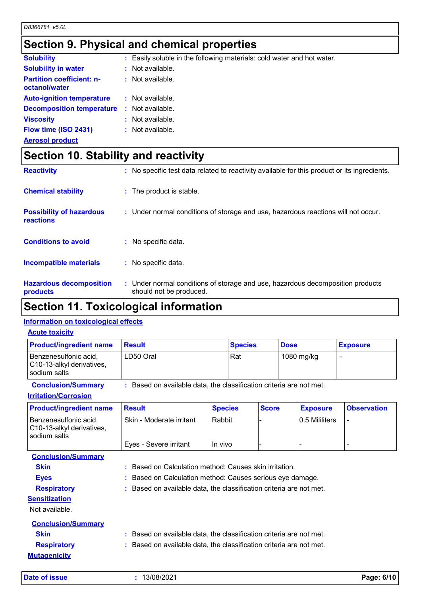## **Section 9. Physical and chemical properties**

| <b>Solubility</b>                                 |     | Easily soluble in the following materials: cold water and hot water. |
|---------------------------------------------------|-----|----------------------------------------------------------------------|
| <b>Solubility in water</b>                        |     | : Not available.                                                     |
| <b>Partition coefficient: n-</b><br>octanol/water |     | $:$ Not available.                                                   |
| <b>Auto-ignition temperature</b>                  |     | : Not available.                                                     |
| <b>Decomposition temperature</b>                  | -11 | Not available.                                                       |
| <b>Viscosity</b>                                  | ÷.  | Not available.                                                       |
| Flow time (ISO 2431)                              |     | $:$ Not available.                                                   |
| <b>Aerosol product</b>                            |     |                                                                      |

## **Section 10. Stability and reactivity**

| <b>Reactivity</b>                            | : No specific test data related to reactivity available for this product or its ingredients.              |
|----------------------------------------------|-----------------------------------------------------------------------------------------------------------|
| <b>Chemical stability</b>                    | : The product is stable.                                                                                  |
| <b>Possibility of hazardous</b><br>reactions | : Under normal conditions of storage and use, hazardous reactions will not occur.                         |
| <b>Conditions to avoid</b>                   | : No specific data.                                                                                       |
| Incompatible materials                       | : No specific data.                                                                                       |
| <b>Hazardous decomposition</b><br>products   | : Under normal conditions of storage and use, hazardous decomposition products<br>should not be produced. |

## **Section 11. Toxicological information**

#### **Information on toxicological effects**

| <b>Product/ingredient name</b>                                     | <b>Result</b>                                                     |                | <b>Species</b> |              | <b>Dose</b> |                 | <b>Exposure</b>    |
|--------------------------------------------------------------------|-------------------------------------------------------------------|----------------|----------------|--------------|-------------|-----------------|--------------------|
| Benzenesulfonic acid,<br>C10-13-alkyl derivatives,<br>sodium salts | LD50 Oral                                                         |                | Rat            |              |             | 1080 mg/kg      | $\overline{a}$     |
| <b>Conclusion/Summary</b>                                          | Based on available data, the classification criteria are not met. |                |                |              |             |                 |                    |
| <b>Irritation/Corrosion</b>                                        |                                                                   |                |                |              |             |                 |                    |
| <b>Product/ingredient name</b>                                     | <b>Result</b>                                                     | <b>Species</b> |                | <b>Score</b> |             | <b>Exposure</b> | <b>Observation</b> |
| Benzenesulfonic acid,<br>C10-13-alkyl derivatives,<br>sodium salts | Skin - Moderate irritant                                          | Rabbit         |                |              |             | 0.5 Mililiters  |                    |
|                                                                    | Eyes - Severe irritant                                            | In vivo        |                |              |             |                 |                    |
| <b>Conclusion/Summary</b>                                          |                                                                   |                |                |              |             |                 |                    |
| <b>Skin</b>                                                        | Based on Calculation method: Causes skin irritation.              |                |                |              |             |                 |                    |
| <b>Eyes</b>                                                        | Based on Calculation method: Causes serious eye damage.           |                |                |              |             |                 |                    |
| <b>Respiratory</b>                                                 | Based on available data, the classification criteria are not met. |                |                |              |             |                 |                    |
| <b>Sensitization</b><br>Not available.                             |                                                                   |                |                |              |             |                 |                    |
| <b>Conclusion/Summary</b>                                          |                                                                   |                |                |              |             |                 |                    |
| <b>Skin</b>                                                        | Based on available data, the classification criteria are not met. |                |                |              |             |                 |                    |
| <b>Respiratory</b>                                                 | Based on available data, the classification criteria are not met. |                |                |              |             |                 |                    |
| <b>Mutagenicity</b>                                                |                                                                   |                |                |              |             |                 |                    |
| Date of issue                                                      | : 13/08/2021                                                      |                |                |              |             |                 | Page: 6/10         |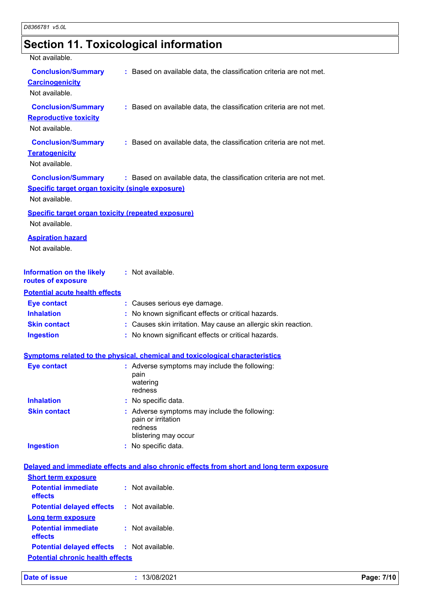# **Section 11. Toxicological information**

| Not available.                                                                                         |                                                                                                        |
|--------------------------------------------------------------------------------------------------------|--------------------------------------------------------------------------------------------------------|
| <b>Conclusion/Summary</b><br><b>Carcinogenicity</b><br>Not available.                                  | : Based on available data, the classification criteria are not met.                                    |
| <b>Conclusion/Summary</b><br><b>Reproductive toxicity</b><br>Not available.                            | : Based on available data, the classification criteria are not met.                                    |
| <b>Conclusion/Summary</b><br><b>Teratogenicity</b><br>Not available.                                   | : Based on available data, the classification criteria are not met.                                    |
| <b>Conclusion/Summary</b><br><b>Specific target organ toxicity (single exposure)</b><br>Not available. | : Based on available data, the classification criteria are not met.                                    |
| <b>Specific target organ toxicity (repeated exposure)</b><br>Not available.                            |                                                                                                        |
| <b>Aspiration hazard</b><br>Not available.                                                             |                                                                                                        |
| <b>Information on the likely</b><br>routes of exposure                                                 | : Not available.                                                                                       |
| <b>Potential acute health effects</b>                                                                  |                                                                                                        |
| <b>Eye contact</b>                                                                                     | : Causes serious eye damage.                                                                           |
| <b>Inhalation</b>                                                                                      | : No known significant effects or critical hazards.                                                    |
| <b>Skin contact</b>                                                                                    | : Causes skin irritation. May cause an allergic skin reaction.                                         |
| <b>Ingestion</b>                                                                                       | : No known significant effects or critical hazards.                                                    |
|                                                                                                        | <b>Symptoms related to the physical, chemical and toxicological characteristics</b>                    |
| <b>Eye contact</b>                                                                                     | : Adverse symptoms may include the following:                                                          |
|                                                                                                        | pain<br>watering<br>redness                                                                            |
| <b>Inhalation</b>                                                                                      | : No specific data.                                                                                    |
| <b>Skin contact</b>                                                                                    | : Adverse symptoms may include the following:<br>pain or irritation<br>redness<br>blistering may occur |
| <b>Ingestion</b>                                                                                       | : No specific data.                                                                                    |
|                                                                                                        | Delayed and immediate effects and also chronic effects from short and long term exposure               |
| <b>Short term exposure</b>                                                                             |                                                                                                        |
| <b>Potential immediate</b><br>effects                                                                  | : Not available.                                                                                       |
| <b>Potential delayed effects</b>                                                                       | : Not available.                                                                                       |
| <b>Long term exposure</b>                                                                              |                                                                                                        |
| <b>Potential immediate</b><br>effects                                                                  | $:$ Not available.                                                                                     |
| <b>Potential delayed effects</b>                                                                       | : Not available.                                                                                       |
| <b>Potential chronic health effects</b>                                                                |                                                                                                        |

|  | Date of issue |  |
|--|---------------|--|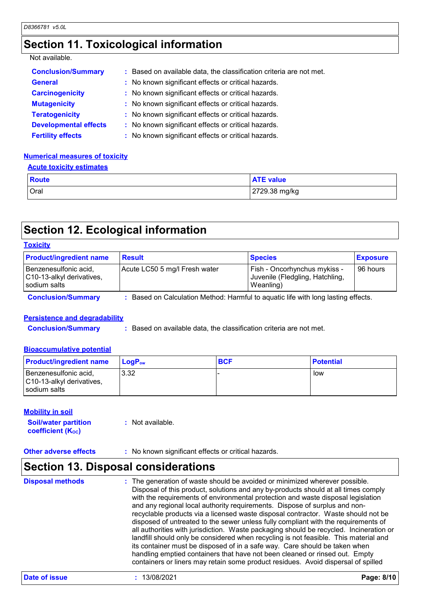## **Section 11. Toxicological information**

#### Not available.

| <b>Conclusion/Summary</b>    | : Based on available data, the classification criteria are not met. |  |
|------------------------------|---------------------------------------------------------------------|--|
| <b>General</b>               | : No known significant effects or critical hazards.                 |  |
| <b>Carcinogenicity</b>       | : No known significant effects or critical hazards.                 |  |
| <b>Mutagenicity</b>          | : No known significant effects or critical hazards.                 |  |
| <b>Teratogenicity</b>        | : No known significant effects or critical hazards.                 |  |
| <b>Developmental effects</b> | : No known significant effects or critical hazards.                 |  |
| <b>Fertility effects</b>     | : No known significant effects or critical hazards.                 |  |

#### **Numerical measures of toxicity**

#### **Acute toxicity estimates**

| <b>Route</b> | <b>ATE value</b> |
|--------------|------------------|
| Oral         | 2729.38 mg/kg    |

## **Section 12. Ecological information**

| <b>Product/ingredient name</b>                                     | <b>Result</b>                 | <b>Species</b>                                                               | <b>Exposure</b> |
|--------------------------------------------------------------------|-------------------------------|------------------------------------------------------------------------------|-----------------|
| Benzenesulfonic acid,<br>C10-13-alkyl derivatives,<br>sodium salts | Acute LC50 5 mg/l Fresh water | Fish - Oncorhynchus mykiss -<br>Juvenile (Fledgling, Hatchling,<br>Weanling) | 96 hours        |

#### **Persistence and degradability**

**Conclusion/Summary :** Based on available data, the classification criteria are not met.

#### **Bioaccumulative potential**

| <b>Product/ingredient name</b>                                     | <b>LogP</b> <sub>ow</sub> | <b>IBCF</b> | <b>Potential</b> |
|--------------------------------------------------------------------|---------------------------|-------------|------------------|
| Benzenesulfonic acid,<br>C10-13-alkyl derivatives,<br>sodium salts | 3.32                      |             | low              |

#### **Mobility in soil**

**Soil/water partition coefficient (KOC) :** Not available.

#### **Other adverse effects** : No known significant effects or critical hazards.

## **Section 13. Disposal considerations**

| <b>Disposal methods</b> | : The generation of waste should be avoided or minimized wherever possible.<br>Disposal of this product, solutions and any by-products should at all times comply<br>with the requirements of environmental protection and waste disposal legislation<br>and any regional local authority requirements. Dispose of surplus and non-<br>recyclable products via a licensed waste disposal contractor. Waste should not be<br>disposed of untreated to the sewer unless fully compliant with the requirements of<br>all authorities with jurisdiction. Waste packaging should be recycled. Incineration or<br>landfill should only be considered when recycling is not feasible. This material and<br>its container must be disposed of in a safe way. Care should be taken when<br>handling emptied containers that have not been cleaned or rinsed out. Empty<br>containers or liners may retain some product residues. Avoid dispersal of spilled |
|-------------------------|----------------------------------------------------------------------------------------------------------------------------------------------------------------------------------------------------------------------------------------------------------------------------------------------------------------------------------------------------------------------------------------------------------------------------------------------------------------------------------------------------------------------------------------------------------------------------------------------------------------------------------------------------------------------------------------------------------------------------------------------------------------------------------------------------------------------------------------------------------------------------------------------------------------------------------------------------|
|-------------------------|----------------------------------------------------------------------------------------------------------------------------------------------------------------------------------------------------------------------------------------------------------------------------------------------------------------------------------------------------------------------------------------------------------------------------------------------------------------------------------------------------------------------------------------------------------------------------------------------------------------------------------------------------------------------------------------------------------------------------------------------------------------------------------------------------------------------------------------------------------------------------------------------------------------------------------------------------|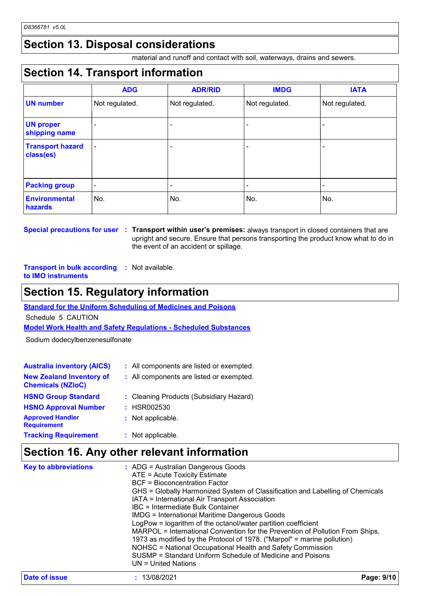#### **Section 13. Disposal considerations**

material and runoff and contact with soil, waterways, drains and sewers.

#### **Section 14. Transport information**

|                                      | <b>ADG</b>               | <b>ADR/RID</b> | <b>IMDG</b>    | <b>IATA</b>    |
|--------------------------------------|--------------------------|----------------|----------------|----------------|
| <b>UN number</b>                     | Not regulated.           | Not regulated. | Not regulated. | Not regulated. |
| <b>UN proper</b><br>shipping name    |                          |                |                |                |
| <b>Transport hazard</b><br>class(es) | $\overline{\phantom{a}}$ |                |                |                |
| <b>Packing group</b>                 | $\overline{\phantom{a}}$ |                | -              |                |
| <b>Environmental</b><br>hazards      | No.                      | No.            | No.            | No.            |

**Special precautions for user Transport within user's premises:** always transport in closed containers that are **:** upright and secure. Ensure that persons transporting the product know what to do in the event of an accident or spillage.

**Transport in bulk according :** Not available. **to IMO instruments**

#### **Section 15. Regulatory information**

**Standard for the Uniform Scheduling of Medicines and Poisons**

Schedule 5 CAUTION

**Model Work Health and Safety Regulations - Scheduled Substances**

Sodium dodecylbenzenesulfonate

| <b>Australia inventory (AICS)</b>                           | : All components are listed or exempted. |
|-------------------------------------------------------------|------------------------------------------|
| <b>New Zealand Inventory of</b><br><b>Chemicals (NZIoC)</b> | : All components are listed or exempted. |
| <b>HSNO Group Standard</b>                                  | : Cleaning Products (Subsidiary Hazard)  |
| <b>HSNO Approval Number</b>                                 | : HSR002530                              |
| <b>Approved Handler</b><br><b>Requirement</b>               | : Not applicable.                        |
| <b>Tracking Requirement</b>                                 | : Not applicable.                        |

#### **Section 16. Any other relevant information**

| <b>Key to abbreviations</b> | : ADG = Australian Dangerous Goods<br>ATE = Acute Toxicity Estimate<br><b>BCF</b> = Bioconcentration Factor<br>GHS = Globally Harmonized System of Classification and Labelling of Chemicals<br>IATA = International Air Transport Association<br>IBC = Intermediate Bulk Container<br><b>IMDG = International Maritime Dangerous Goods</b><br>LogPow = logarithm of the octanol/water partition coefficient<br>MARPOL = International Convention for the Prevention of Pollution From Ships,<br>1973 as modified by the Protocol of 1978. ("Marpol" = marine pollution)<br>NOHSC = National Occupational Health and Safety Commission<br>SUSMP = Standard Uniform Schedule of Medicine and Poisons<br>UN = United Nations |
|-----------------------------|----------------------------------------------------------------------------------------------------------------------------------------------------------------------------------------------------------------------------------------------------------------------------------------------------------------------------------------------------------------------------------------------------------------------------------------------------------------------------------------------------------------------------------------------------------------------------------------------------------------------------------------------------------------------------------------------------------------------------|
| <b>Date of issue</b>        | 13/08/2021<br>Page: 9/10                                                                                                                                                                                                                                                                                                                                                                                                                                                                                                                                                                                                                                                                                                   |